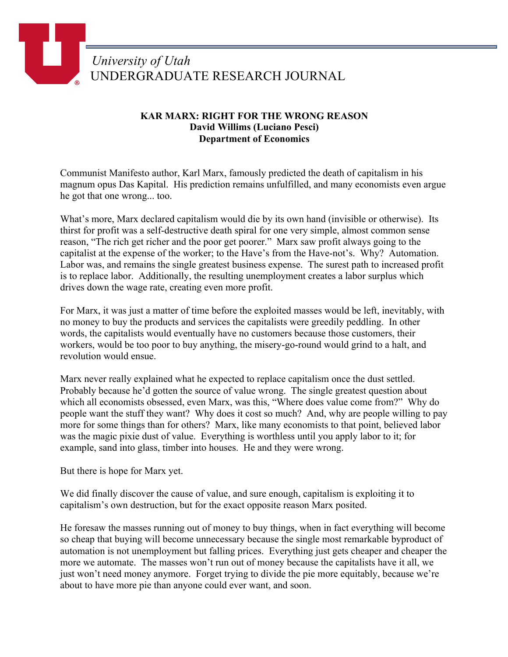## *University of Utah* UNDERGRADUATE RESEARCH JOURNAL

## **KAR MARX: RIGHT FOR THE WRONG REASON David Willims (Luciano Pesci) Department of Economics**

Communist Manifesto author, Karl Marx, famously predicted the death of capitalism in his magnum opus Das Kapital. His prediction remains unfulfilled, and many economists even argue he got that one wrong... too.

What's more, Marx declared capitalism would die by its own hand (invisible or otherwise). Its thirst for profit was a self-destructive death spiral for one very simple, almost common sense reason, "The rich get richer and the poor get poorer." Marx saw profit always going to the capitalist at the expense of the worker; to the Have's from the Have-not's. Why? Automation. Labor was, and remains the single greatest business expense. The surest path to increased profit is to replace labor. Additionally, the resulting unemployment creates a labor surplus which drives down the wage rate, creating even more profit.

For Marx, it was just a matter of time before the exploited masses would be left, inevitably, with no money to buy the products and services the capitalists were greedily peddling. In other words, the capitalists would eventually have no customers because those customers, their workers, would be too poor to buy anything, the misery-go-round would grind to a halt, and revolution would ensue.

Marx never really explained what he expected to replace capitalism once the dust settled. Probably because he'd gotten the source of value wrong. The single greatest question about which all economists obsessed, even Marx, was this, "Where does value come from?" Why do people want the stuff they want? Why does it cost so much? And, why are people willing to pay more for some things than for others? Marx, like many economists to that point, believed labor was the magic pixie dust of value. Everything is worthless until you apply labor to it; for example, sand into glass, timber into houses. He and they were wrong.

But there is hope for Marx yet.

We did finally discover the cause of value, and sure enough, capitalism is exploiting it to capitalism's own destruction, but for the exact opposite reason Marx posited.

He foresaw the masses running out of money to buy things, when in fact everything will become so cheap that buying will become unnecessary because the single most remarkable byproduct of automation is not unemployment but falling prices. Everything just gets cheaper and cheaper the more we automate. The masses won't run out of money because the capitalists have it all, we just won't need money anymore. Forget trying to divide the pie more equitably, because we're about to have more pie than anyone could ever want, and soon.